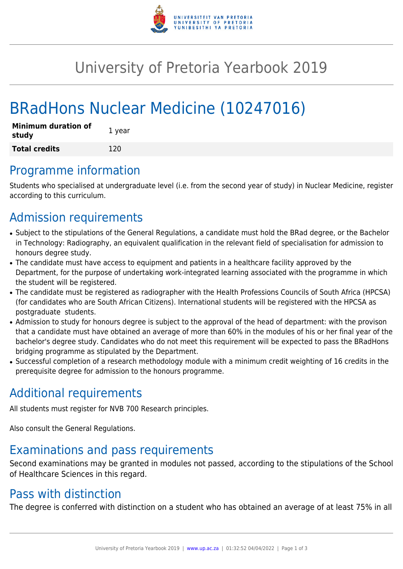

# University of Pretoria Yearbook 2019

# BRadHons Nuclear Medicine (10247016)

| <b>Minimum duration of</b><br>study | 1 year |
|-------------------------------------|--------|
| <b>Total credits</b>                | 120    |

## Programme information

Students who specialised at undergraduate level (i.e. from the second year of study) in Nuclear Medicine, register according to this curriculum.

# Admission requirements

- Subject to the stipulations of the General Regulations, a candidate must hold the BRad degree, or the Bachelor in Technology: Radiography, an equivalent qualification in the relevant field of specialisation for admission to honours degree study.
- The candidate must have access to equipment and patients in a healthcare facility approved by the Department, for the purpose of undertaking work-integrated learning associated with the programme in which the student will be registered.
- The candidate must be registered as radiographer with the Health Professions Councils of South Africa (HPCSA) (for candidates who are South African Citizens). International students will be registered with the HPCSA as postgraduate students.
- Admission to study for honours degree is subject to the approval of the head of department: with the provison that a candidate must have obtained an average of more than 60% in the modules of his or her final year of the bachelor's degree study. Candidates who do not meet this requirement will be expected to pass the BRadHons bridging programme as stipulated by the Department.
- Successful completion of a research methodology module with a minimum credit weighting of 16 credits in the prerequisite degree for admission to the honours programme.

# Additional requirements

All students must register for NVB 700 Research principles.

Also consult the General Regulations.

# Examinations and pass requirements

Second examinations may be granted in modules not passed, according to the stipulations of the School of Healthcare Sciences in this regard.

## Pass with distinction

The degree is conferred with distinction on a student who has obtained an average of at least 75% in all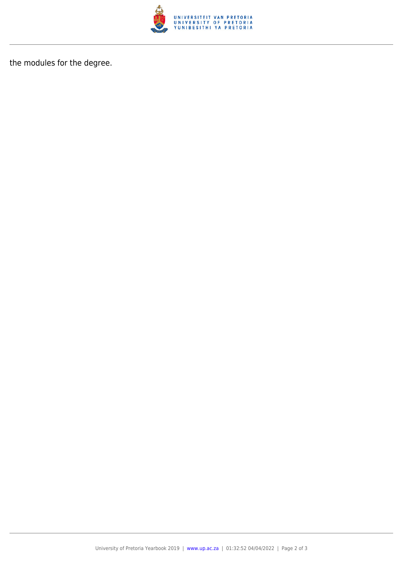

the modules for the degree.